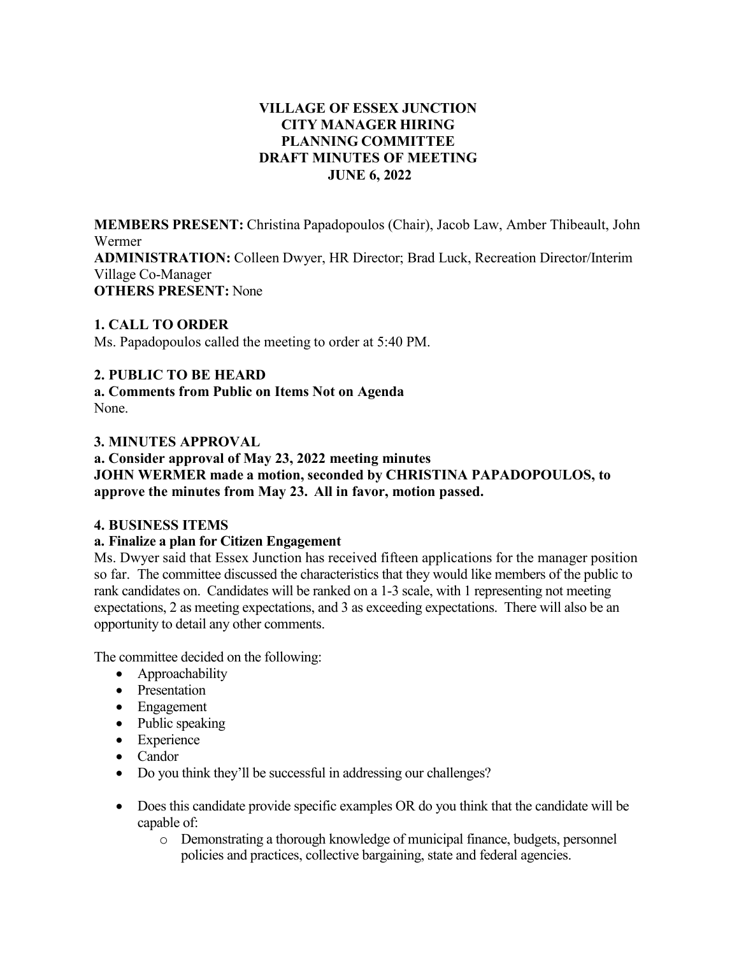# **VILLAGE OF ESSEX JUNCTION CITY MANAGER HIRING PLANNING COMMITTEE DRAFT MINUTES OF MEETING JUNE 6, 2022**

**MEMBERS PRESENT:** Christina Papadopoulos (Chair), Jacob Law, Amber Thibeault, John Wermer **ADMINISTRATION:** Colleen Dwyer, HR Director; Brad Luck, Recreation Director/Interim Village Co-Manager **OTHERS PRESENT:** None

## **1. CALL TO ORDER**

Ms. Papadopoulos called the meeting to order at 5:40 PM.

## **2. PUBLIC TO BE HEARD**

**a. Comments from Public on Items Not on Agenda** None.

#### **3. MINUTES APPROVAL**

## **a. Consider approval of May 23, 2022 meeting minutes JOHN WERMER made a motion, seconded by CHRISTINA PAPADOPOULOS, to approve the minutes from May 23. All in favor, motion passed.**

## **4. BUSINESS ITEMS**

## **a. Finalize a plan for Citizen Engagement**

Ms. Dwyer said that Essex Junction has received fifteen applications for the manager position so far. The committee discussed the characteristics that they would like members of the public to rank candidates on. Candidates will be ranked on a 1-3 scale, with 1 representing not meeting expectations, 2 as meeting expectations, and 3 as exceeding expectations. There will also be an opportunity to detail any other comments.

The committee decided on the following:

- Approachability
- Presentation
- Engagement
- Public speaking
- Experience
- Candor
- Do you think they'll be successful in addressing our challenges?
- Does this candidate provide specific examples OR do you think that the candidate will be capable of:
	- o Demonstrating a thorough knowledge of municipal finance, budgets, personnel policies and practices, collective bargaining, state and federal agencies.